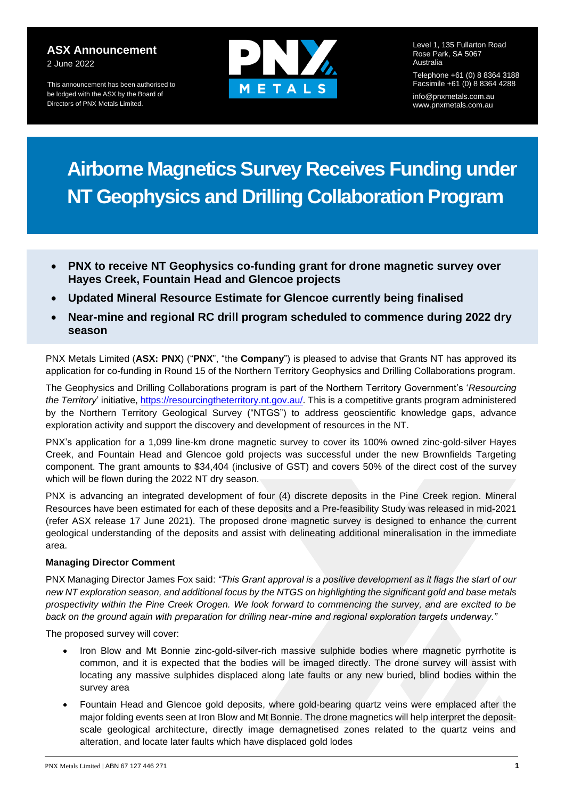### **ASX Announcement**  2 June 2022

This announcement has been authorised to be lodged with the ASX by the Board of Directors of PNX Metals Limited.



Level 1, 135 Fullarton Road Rose Park, SA 5067 Australia

Telephone +61 (0) 8 8364 3188 Facsimile +61 (0) 8 8364 4288 info@pnxmetals.com.au www.pnxmetals.com.au

# **Airborne Magnetics Survey Receives Funding under NT Geophysics and Drilling Collaboration Program**

- **PNX to receive NT Geophysics co-funding grant for drone magnetic survey over Hayes Creek, Fountain Head and Glencoe projects**
- **Updated Mineral Resource Estimate for Glencoe currently being finalised**
- **Near-mine and regional RC drill program scheduled to commence during 2022 dry season**

PNX Metals Limited (**ASX: PNX**) ("**PNX**", "the **Company**") is pleased to advise that Grants NT has approved its application for co-funding in Round 15 of the Northern Territory Geophysics and Drilling Collaborations program.

The Geophysics and Drilling Collaborations program is part of the Northern Territory Government's '*Resourcing the Territory*' initiative, [https://resourcingtheterritory.nt.gov.au/.](https://resourcingtheterritory.nt.gov.au/) This is a competitive grants program administered by the Northern Territory Geological Survey ("NTGS") to address geoscientific knowledge gaps, advance exploration activity and support the discovery and development of resources in the NT.

PNX's application for a 1,099 line-km drone magnetic survey to cover its 100% owned zinc-gold-silver Hayes Creek, and Fountain Head and Glencoe gold projects was successful under the new Brownfields Targeting component. The grant amounts to \$34,404 (inclusive of GST) and covers 50% of the direct cost of the survey which will be flown during the 2022 NT dry season.

PNX is advancing an integrated development of four (4) discrete deposits in the Pine Creek region. Mineral Resources have been estimated for each of these deposits and a Pre-feasibility Study was released in mid-2021 (refer ASX release 17 June 2021). The proposed drone magnetic survey is designed to enhance the current geological understanding of the deposits and assist with delineating additional mineralisation in the immediate area.

# **Managing Director Comment**

PNX Managing Director James Fox said: *"This Grant approval is a positive development as it flags the start of our new NT exploration season, and additional focus by the NTGS on highlighting the significant gold and base metals prospectivity within the Pine Creek Orogen. We look forward to commencing the survey, and are excited to be back on the ground again with preparation for drilling near-mine and regional exploration targets underway."* 

The proposed survey will cover:

- Iron Blow and Mt Bonnie zinc-gold-silver-rich massive sulphide bodies where magnetic pyrrhotite is common, and it is expected that the bodies will be imaged directly. The drone survey will assist with locating any massive sulphides displaced along late faults or any new buried, blind bodies within the survey area
- Fountain Head and Glencoe gold deposits, where gold-bearing quartz veins were emplaced after the major folding events seen at Iron Blow and Mt Bonnie. The drone magnetics will help interpret the depositscale geological architecture, directly image demagnetised zones related to the quartz veins and alteration, and locate later faults which have displaced gold lodes